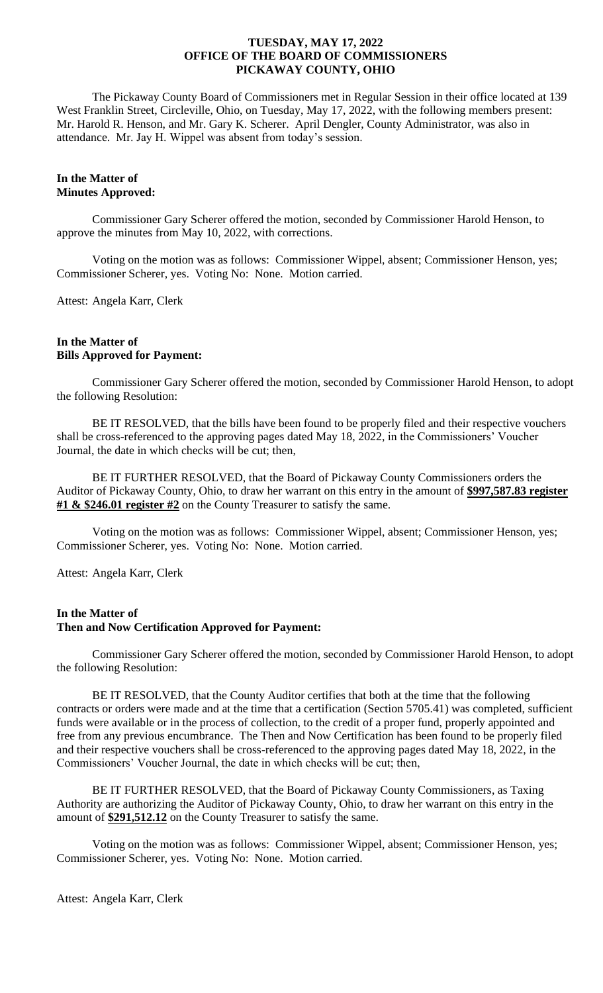The Pickaway County Board of Commissioners met in Regular Session in their office located at 139 West Franklin Street, Circleville, Ohio, on Tuesday, May 17, 2022, with the following members present: Mr. Harold R. Henson, and Mr. Gary K. Scherer. April Dengler, County Administrator, was also in attendance. Mr. Jay H. Wippel was absent from today's session.

# **In the Matter of Minutes Approved:**

Commissioner Gary Scherer offered the motion, seconded by Commissioner Harold Henson, to approve the minutes from May 10, 2022, with corrections.

Voting on the motion was as follows: Commissioner Wippel, absent; Commissioner Henson, yes; Commissioner Scherer, yes. Voting No: None. Motion carried.

Attest: Angela Karr, Clerk

### **In the Matter of Bills Approved for Payment:**

Commissioner Gary Scherer offered the motion, seconded by Commissioner Harold Henson, to adopt the following Resolution:

BE IT RESOLVED, that the bills have been found to be properly filed and their respective vouchers shall be cross-referenced to the approving pages dated May 18, 2022, in the Commissioners' Voucher Journal, the date in which checks will be cut; then,

BE IT FURTHER RESOLVED, that the Board of Pickaway County Commissioners orders the Auditor of Pickaway County, Ohio, to draw her warrant on this entry in the amount of **\$997,587.83 register #1 & \$246.01 register #2** on the County Treasurer to satisfy the same.

Voting on the motion was as follows: Commissioner Wippel, absent; Commissioner Henson, yes; Commissioner Scherer, yes. Voting No: None. Motion carried.

Attest: Angela Karr, Clerk

# **In the Matter of Then and Now Certification Approved for Payment:**

Commissioner Gary Scherer offered the motion, seconded by Commissioner Harold Henson, to adopt the following Resolution:

BE IT RESOLVED, that the County Auditor certifies that both at the time that the following contracts or orders were made and at the time that a certification (Section 5705.41) was completed, sufficient funds were available or in the process of collection, to the credit of a proper fund, properly appointed and free from any previous encumbrance. The Then and Now Certification has been found to be properly filed and their respective vouchers shall be cross-referenced to the approving pages dated May 18, 2022, in the Commissioners' Voucher Journal, the date in which checks will be cut; then,

BE IT FURTHER RESOLVED, that the Board of Pickaway County Commissioners, as Taxing Authority are authorizing the Auditor of Pickaway County, Ohio, to draw her warrant on this entry in the amount of **\$291,512.12** on the County Treasurer to satisfy the same.

Voting on the motion was as follows: Commissioner Wippel, absent; Commissioner Henson, yes; Commissioner Scherer, yes. Voting No: None. Motion carried.

Attest: Angela Karr, Clerk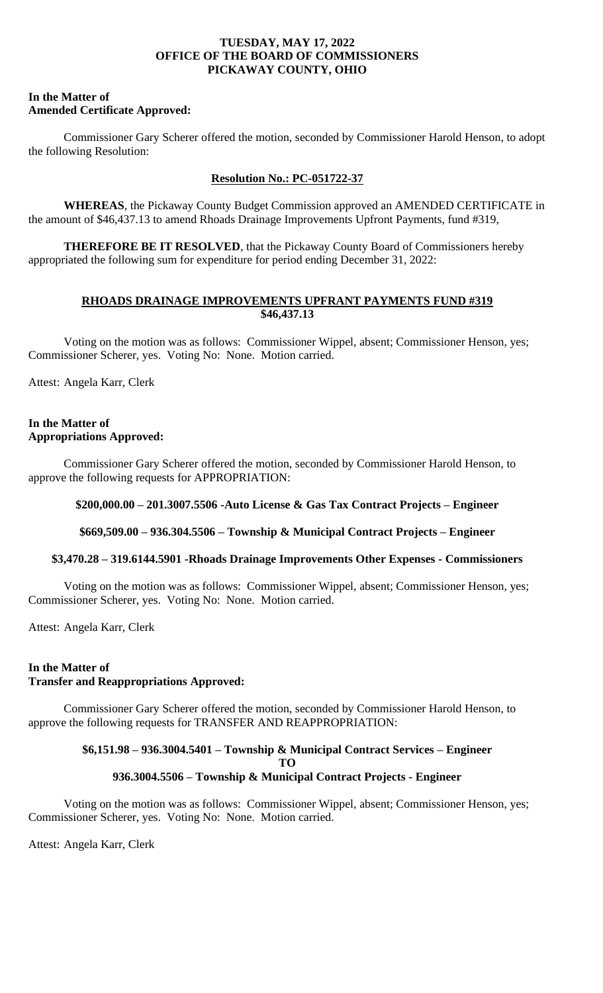### **In the Matter of Amended Certificate Approved:**

Commissioner Gary Scherer offered the motion, seconded by Commissioner Harold Henson, to adopt the following Resolution:

# **Resolution No.: PC-051722-37**

**WHEREAS**, the Pickaway County Budget Commission approved an AMENDED CERTIFICATE in the amount of \$46,437.13 to amend Rhoads Drainage Improvements Upfront Payments, fund #319,

**THEREFORE BE IT RESOLVED**, that the Pickaway County Board of Commissioners hereby appropriated the following sum for expenditure for period ending December 31, 2022:

# **RHOADS DRAINAGE IMPROVEMENTS UPFRANT PAYMENTS FUND #319 \$46,437.13**

Voting on the motion was as follows: Commissioner Wippel, absent; Commissioner Henson, yes; Commissioner Scherer, yes. Voting No: None. Motion carried.

Attest: Angela Karr, Clerk

# **In the Matter of Appropriations Approved:**

Commissioner Gary Scherer offered the motion, seconded by Commissioner Harold Henson, to approve the following requests for APPROPRIATION:

# **\$200,000.00 – 201.3007.5506 -Auto License & Gas Tax Contract Projects – Engineer**

**\$669,509.00 – 936.304.5506 – Township & Municipal Contract Projects – Engineer**

# **\$3,470.28 – 319.6144.5901 -Rhoads Drainage Improvements Other Expenses - Commissioners**

Voting on the motion was as follows: Commissioner Wippel, absent; Commissioner Henson, yes; Commissioner Scherer, yes. Voting No: None. Motion carried.

Attest: Angela Karr, Clerk

# **In the Matter of Transfer and Reappropriations Approved:**

Commissioner Gary Scherer offered the motion, seconded by Commissioner Harold Henson, to approve the following requests for TRANSFER AND REAPPROPRIATION:

# **\$6,151.98 – 936.3004.5401 – Township & Municipal Contract Services – Engineer TO 936.3004.5506 – Township & Municipal Contract Projects - Engineer**

Voting on the motion was as follows: Commissioner Wippel, absent; Commissioner Henson, yes; Commissioner Scherer, yes. Voting No: None. Motion carried.

Attest: Angela Karr, Clerk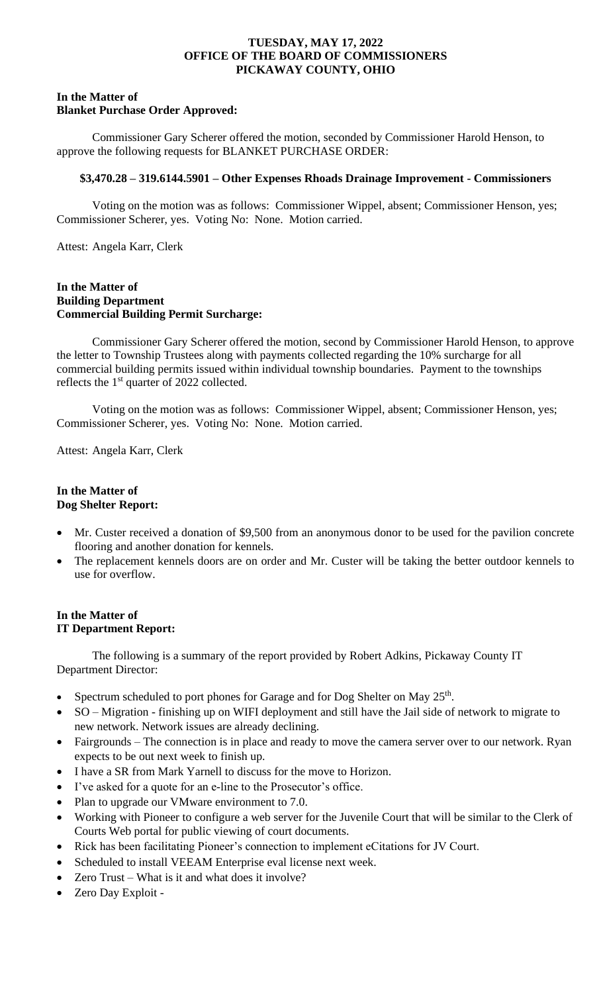### **In the Matter of Blanket Purchase Order Approved:**

Commissioner Gary Scherer offered the motion, seconded by Commissioner Harold Henson, to approve the following requests for BLANKET PURCHASE ORDER:

### **\$3,470.28 – 319.6144.5901 – Other Expenses Rhoads Drainage Improvement - Commissioners**

Voting on the motion was as follows: Commissioner Wippel, absent; Commissioner Henson, yes; Commissioner Scherer, yes. Voting No: None. Motion carried.

Attest: Angela Karr, Clerk

# **In the Matter of Building Department Commercial Building Permit Surcharge:**

Commissioner Gary Scherer offered the motion, second by Commissioner Harold Henson, to approve the letter to Township Trustees along with payments collected regarding the 10% surcharge for all commercial building permits issued within individual township boundaries. Payment to the townships reflects the  $1<sup>st</sup>$  quarter of 2022 collected.

Voting on the motion was as follows: Commissioner Wippel, absent; Commissioner Henson, yes; Commissioner Scherer, yes. Voting No: None. Motion carried.

Attest: Angela Karr, Clerk

# **In the Matter of Dog Shelter Report:**

- Mr. Custer received a donation of \$9,500 from an anonymous donor to be used for the pavilion concrete flooring and another donation for kennels.
- The replacement kennels doors are on order and Mr. Custer will be taking the better outdoor kennels to use for overflow.

### **In the Matter of IT Department Report:**

The following is a summary of the report provided by Robert Adkins, Pickaway County IT Department Director:

- Spectrum scheduled to port phones for Garage and for Dog Shelter on May  $25<sup>th</sup>$ .
- SO Migration finishing up on WIFI deployment and still have the Jail side of network to migrate to new network. Network issues are already declining.
- Fairgrounds The connection is in place and ready to move the camera server over to our network. Ryan expects to be out next week to finish up.
- I have a SR from Mark Yarnell to discuss for the move to Horizon.
- I've asked for a quote for an e-line to the Prosecutor's office.
- Plan to upgrade our VMware environment to 7.0.
- Working with Pioneer to configure a web server for the Juvenile Court that will be similar to the Clerk of Courts Web portal for public viewing of court documents.
- Rick has been facilitating Pioneer's connection to implement eCitations for JV Court.
- Scheduled to install VEEAM Enterprise eval license next week.
- Zero Trust What is it and what does it involve?
- Zero Day Exploit -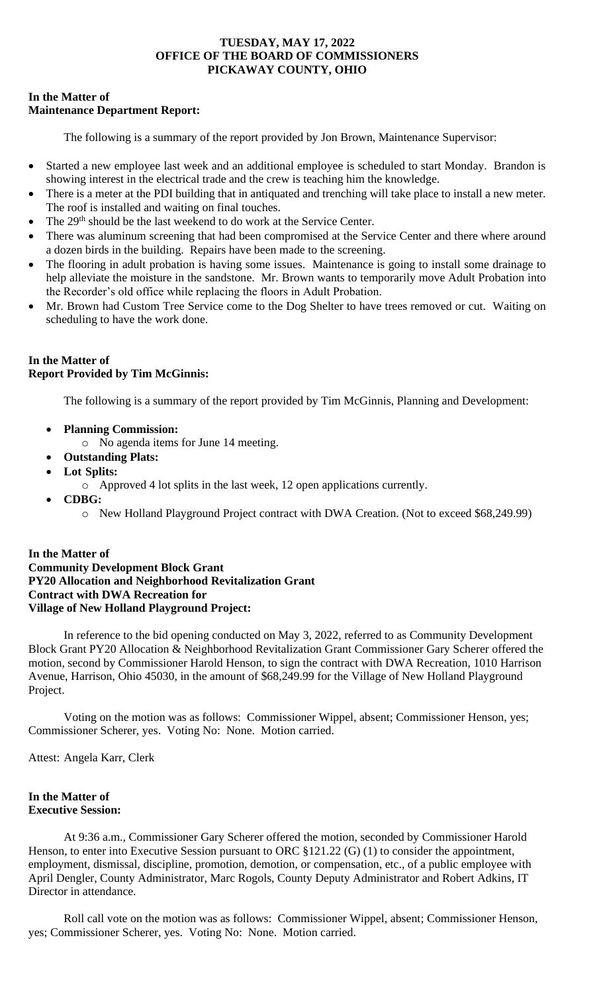# **In the Matter of Maintenance Department Report:**

The following is a summary of the report provided by Jon Brown, Maintenance Supervisor:

- Started a new employee last week and an additional employee is scheduled to start Monday. Brandon is showing interest in the electrical trade and the crew is teaching him the knowledge.
- There is a meter at the PDI building that in antiquated and trenching will take place to install a new meter. The roof is installed and waiting on final touches.
- The 29<sup>th</sup> should be the last weekend to do work at the Service Center.
- There was aluminum screening that had been compromised at the Service Center and there where around a dozen birds in the building. Repairs have been made to the screening.
- The flooring in adult probation is having some issues. Maintenance is going to install some drainage to help alleviate the moisture in the sandstone. Mr. Brown wants to temporarily move Adult Probation into the Recorder's old office while replacing the floors in Adult Probation.
- Mr. Brown had Custom Tree Service come to the Dog Shelter to have trees removed or cut. Waiting on scheduling to have the work done.

# **In the Matter of Report Provided by Tim McGinnis:**

The following is a summary of the report provided by Tim McGinnis, Planning and Development:

- **Planning Commission:** 
	- o No agenda items for June 14 meeting.
- **Outstanding Plats:**
- **Lot Splits:**
	- o Approved 4 lot splits in the last week, 12 open applications currently.
- **CDBG:** 
	- o New Holland Playground Project contract with DWA Creation. (Not to exceed \$68,249.99)

# **In the Matter of Community Development Block Grant PY20 Allocation and Neighborhood Revitalization Grant Contract with DWA Recreation for Village of New Holland Playground Project:**

In reference to the bid opening conducted on May 3, 2022, referred to as Community Development Block Grant PY20 Allocation & Neighborhood Revitalization Grant Commissioner Gary Scherer offered the motion, second by Commissioner Harold Henson, to sign the contract with DWA Recreation, 1010 Harrison Avenue, Harrison, Ohio 45030, in the amount of \$68,249.99 for the Village of New Holland Playground Project.

Voting on the motion was as follows: Commissioner Wippel, absent; Commissioner Henson, yes; Commissioner Scherer, yes. Voting No: None. Motion carried.

Attest: Angela Karr, Clerk

# **In the Matter of Executive Session:**

At 9:36 a.m., Commissioner Gary Scherer offered the motion, seconded by Commissioner Harold Henson, to enter into Executive Session pursuant to ORC  $\S 121.22$  (G) (1) to consider the appointment, employment, dismissal, discipline, promotion, demotion, or compensation, etc., of a public employee with April Dengler, County Administrator, Marc Rogols, County Deputy Administrator and Robert Adkins, IT Director in attendance.

Roll call vote on the motion was as follows: Commissioner Wippel, absent; Commissioner Henson, yes; Commissioner Scherer, yes. Voting No: None. Motion carried.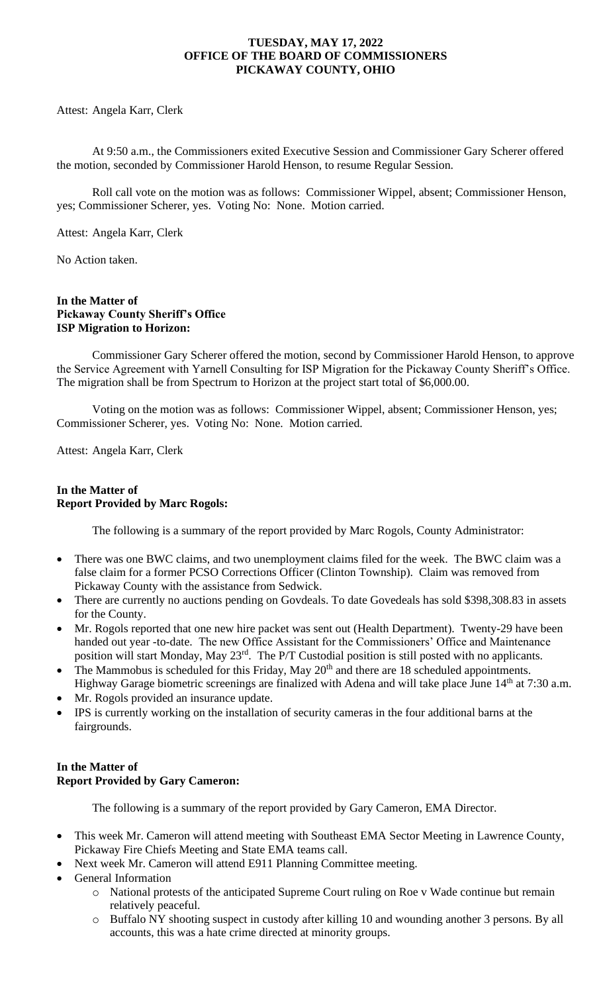Attest: Angela Karr, Clerk

At 9:50 a.m., the Commissioners exited Executive Session and Commissioner Gary Scherer offered the motion, seconded by Commissioner Harold Henson, to resume Regular Session.

Roll call vote on the motion was as follows: Commissioner Wippel, absent; Commissioner Henson, yes; Commissioner Scherer, yes. Voting No: None. Motion carried.

Attest: Angela Karr, Clerk

No Action taken.

### **In the Matter of Pickaway County Sheriff's Office ISP Migration to Horizon:**

Commissioner Gary Scherer offered the motion, second by Commissioner Harold Henson, to approve the Service Agreement with Yarnell Consulting for ISP Migration for the Pickaway County Sheriff's Office. The migration shall be from Spectrum to Horizon at the project start total of \$6,000.00.

Voting on the motion was as follows: Commissioner Wippel, absent; Commissioner Henson, yes; Commissioner Scherer, yes. Voting No: None. Motion carried.

Attest: Angela Karr, Clerk

# **In the Matter of Report Provided by Marc Rogols:**

The following is a summary of the report provided by Marc Rogols, County Administrator:

- There was one BWC claims, and two unemployment claims filed for the week. The BWC claim was a false claim for a former PCSO Corrections Officer (Clinton Township). Claim was removed from Pickaway County with the assistance from Sedwick.
- There are currently no auctions pending on Govdeals. To date Govedeals has sold \$398,308.83 in assets for the County.
- Mr. Rogols reported that one new hire packet was sent out (Health Department). Twenty-29 have been handed out year -to-date. The new Office Assistant for the Commissioners' Office and Maintenance position will start Monday, May 23rd. The P/T Custodial position is still posted with no applicants.
- The Mammobus is scheduled for this Friday, May  $20<sup>th</sup>$  and there are 18 scheduled appointments. Highway Garage biometric screenings are finalized with Adena and will take place June 14<sup>th</sup> at 7:30 a.m.
- Mr. Rogols provided an insurance update.
- IPS is currently working on the installation of security cameras in the four additional barns at the fairgrounds.

# **In the Matter of Report Provided by Gary Cameron:**

The following is a summary of the report provided by Gary Cameron, EMA Director.

- This week Mr. Cameron will attend meeting with Southeast EMA Sector Meeting in Lawrence County, Pickaway Fire Chiefs Meeting and State EMA teams call.
- Next week Mr. Cameron will attend E911 Planning Committee meeting.
- General Information
	- o National protests of the anticipated Supreme Court ruling on Roe v Wade continue but remain relatively peaceful.
	- o Buffalo NY shooting suspect in custody after killing 10 and wounding another 3 persons. By all accounts, this was a hate crime directed at minority groups.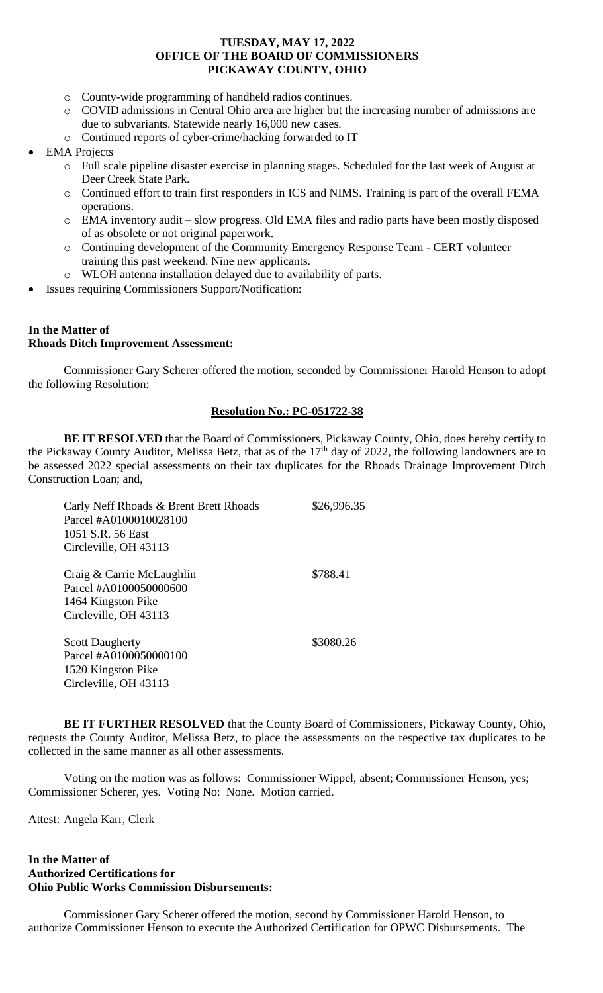- o County-wide programming of handheld radios continues.
- o COVID admissions in Central Ohio area are higher but the increasing number of admissions are due to subvariants. Statewide nearly 16,000 new cases.
- o Continued reports of cyber-crime/hacking forwarded to IT
- **EMA** Projects
	- o Full scale pipeline disaster exercise in planning stages. Scheduled for the last week of August at Deer Creek State Park.
	- o Continued effort to train first responders in ICS and NIMS. Training is part of the overall FEMA operations.
	- o EMA inventory audit slow progress. Old EMA files and radio parts have been mostly disposed of as obsolete or not original paperwork.
	- o Continuing development of the Community Emergency Response Team CERT volunteer training this past weekend. Nine new applicants.
	- o WLOH antenna installation delayed due to availability of parts.
- Issues requiring Commissioners Support/Notification:

#### **In the Matter of Rhoads Ditch Improvement Assessment:**

Commissioner Gary Scherer offered the motion, seconded by Commissioner Harold Henson to adopt the following Resolution:

# **Resolution No.: PC-051722-38**

**BE IT RESOLVED** that the Board of Commissioners, Pickaway County, Ohio, does hereby certify to the Pickaway County Auditor, Melissa Betz, that as of the 17<sup>th</sup> day of 2022, the following landowners are to be assessed 2022 special assessments on their tax duplicates for the Rhoads Drainage Improvement Ditch Construction Loan; and,

| Carly Neff Rhoads & Brent Brett Rhoads<br>Parcel #A0100010028100<br>1051 S.R. 56 East<br>Circleville, OH 43113 | \$26,996.35 |
|----------------------------------------------------------------------------------------------------------------|-------------|
| Craig & Carrie McLaughlin<br>Parcel #A0100050000600<br>1464 Kingston Pike<br>Circleville, OH 43113             | \$788.41    |
| <b>Scott Daugherty</b><br>Parcel #A0100050000100<br>1520 Kingston Pike<br>Circleville, OH 43113                | \$3080.26   |

**BE IT FURTHER RESOLVED** that the County Board of Commissioners, Pickaway County, Ohio, requests the County Auditor, Melissa Betz, to place the assessments on the respective tax duplicates to be collected in the same manner as all other assessments.

Voting on the motion was as follows: Commissioner Wippel, absent; Commissioner Henson, yes; Commissioner Scherer, yes. Voting No: None. Motion carried.

Attest: Angela Karr, Clerk

### **In the Matter of Authorized Certifications for Ohio Public Works Commission Disbursements:**

Commissioner Gary Scherer offered the motion, second by Commissioner Harold Henson, to authorize Commissioner Henson to execute the Authorized Certification for OPWC Disbursements. The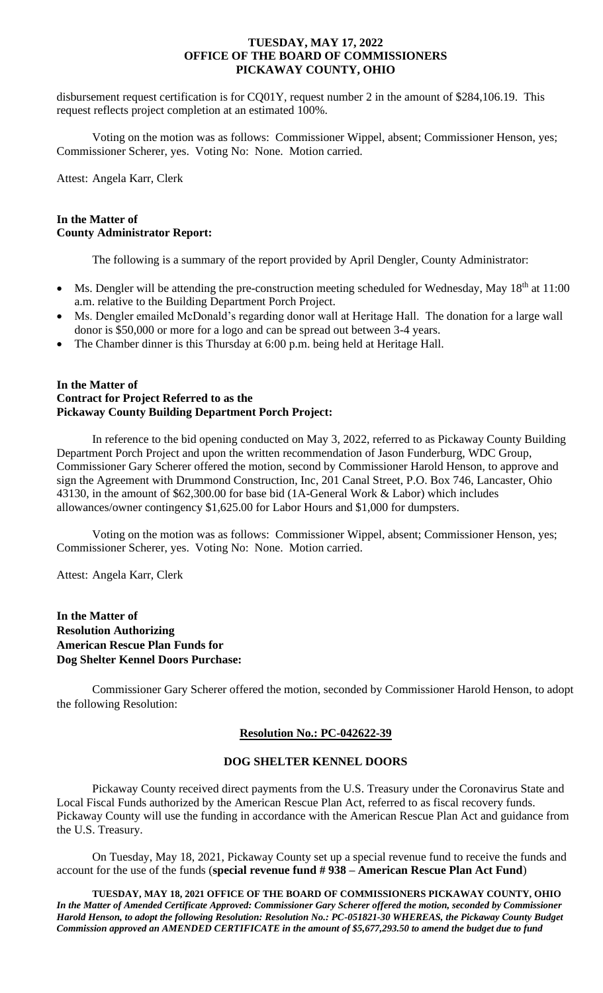disbursement request certification is for CQ01Y, request number 2 in the amount of \$284,106.19. This request reflects project completion at an estimated 100%.

Voting on the motion was as follows: Commissioner Wippel, absent; Commissioner Henson, yes; Commissioner Scherer, yes. Voting No: None. Motion carried.

Attest: Angela Karr, Clerk

# **In the Matter of County Administrator Report:**

The following is a summary of the report provided by April Dengler, County Administrator:

- Ms. Dengler will be attending the pre-construction meeting scheduled for Wednesday, May 18<sup>th</sup> at 11:00 a.m. relative to the Building Department Porch Project.
- Ms. Dengler emailed McDonald's regarding donor wall at Heritage Hall. The donation for a large wall donor is \$50,000 or more for a logo and can be spread out between 3-4 years.
- The Chamber dinner is this Thursday at 6:00 p.m. being held at Heritage Hall.

### **In the Matter of Contract for Project Referred to as the Pickaway County Building Department Porch Project:**

In reference to the bid opening conducted on May 3, 2022, referred to as Pickaway County Building Department Porch Project and upon the written recommendation of Jason Funderburg, WDC Group, Commissioner Gary Scherer offered the motion, second by Commissioner Harold Henson, to approve and sign the Agreement with Drummond Construction, Inc, 201 Canal Street, P.O. Box 746, Lancaster, Ohio 43130, in the amount of \$62,300.00 for base bid (1A-General Work & Labor) which includes allowances/owner contingency \$1,625.00 for Labor Hours and \$1,000 for dumpsters.

Voting on the motion was as follows: Commissioner Wippel, absent; Commissioner Henson, yes; Commissioner Scherer, yes. Voting No: None. Motion carried.

Attest: Angela Karr, Clerk

# **In the Matter of Resolution Authorizing American Rescue Plan Funds for Dog Shelter Kennel Doors Purchase:**

Commissioner Gary Scherer offered the motion, seconded by Commissioner Harold Henson, to adopt the following Resolution:

# **Resolution No.: PC-042622-39**

# **DOG SHELTER KENNEL DOORS**

Pickaway County received direct payments from the U.S. Treasury under the Coronavirus State and Local Fiscal Funds authorized by the American Rescue Plan Act, referred to as fiscal recovery funds. Pickaway County will use the funding in accordance with the American Rescue Plan Act and guidance from the U.S. Treasury.

On Tuesday, May 18, 2021, Pickaway County set up a special revenue fund to receive the funds and account for the use of the funds (**special revenue fund # 938 – American Rescue Plan Act Fund**)

**TUESDAY, MAY 18, 2021 OFFICE OF THE BOARD OF COMMISSIONERS PICKAWAY COUNTY, OHIO** *In the Matter of Amended Certificate Approved: Commissioner Gary Scherer offered the motion, seconded by Commissioner Harold Henson, to adopt the following Resolution: Resolution No.: PC-051821-30 WHEREAS, the Pickaway County Budget Commission approved an AMENDED CERTIFICATE in the amount of \$5,677,293.50 to amend the budget due to fund*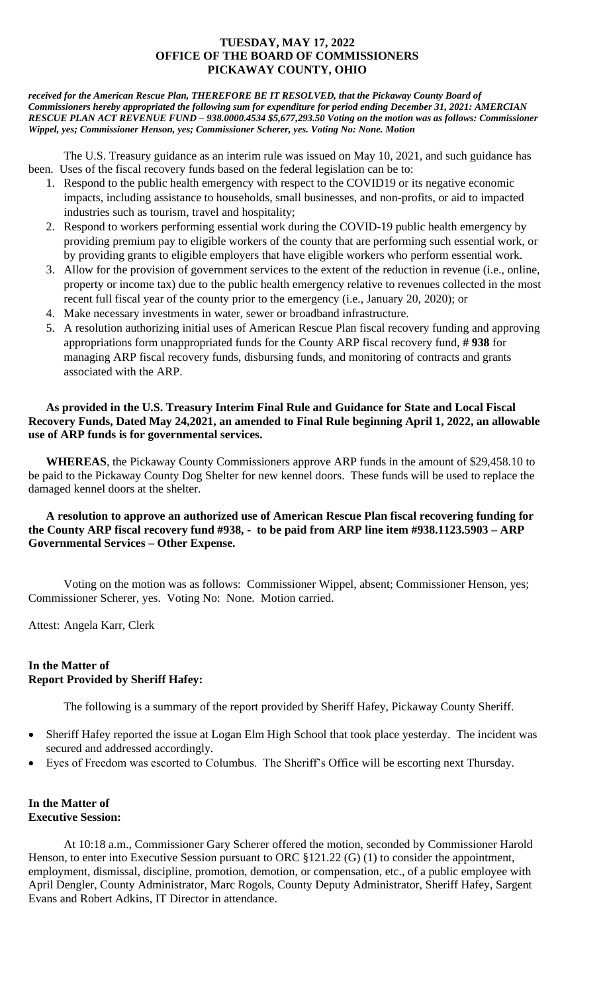*received for the American Rescue Plan, THEREFORE BE IT RESOLVED, that the Pickaway County Board of Commissioners hereby appropriated the following sum for expenditure for period ending December 31, 2021: AMERCIAN RESCUE PLAN ACT REVENUE FUND – 938.0000.4534 \$5,677,293.50 Voting on the motion was as follows: Commissioner Wippel, yes; Commissioner Henson, yes; Commissioner Scherer, yes. Voting No: None. Motion*

The U.S. Treasury guidance as an interim rule was issued on May 10, 2021, and such guidance has been. Uses of the fiscal recovery funds based on the federal legislation can be to:

- 1. Respond to the public health emergency with respect to the COVID19 or its negative economic impacts, including assistance to households, small businesses, and non-profits, or aid to impacted industries such as tourism, travel and hospitality;
- 2. Respond to workers performing essential work during the COVID-19 public health emergency by providing premium pay to eligible workers of the county that are performing such essential work, or by providing grants to eligible employers that have eligible workers who perform essential work.
- 3. Allow for the provision of government services to the extent of the reduction in revenue (i.e., online, property or income tax) due to the public health emergency relative to revenues collected in the most recent full fiscal year of the county prior to the emergency (i.e., January 20, 2020); or
- 4. Make necessary investments in water, sewer or broadband infrastructure.
- 5. A resolution authorizing initial uses of American Rescue Plan fiscal recovery funding and approving appropriations form unappropriated funds for the County ARP fiscal recovery fund, **# 938** for managing ARP fiscal recovery funds, disbursing funds, and monitoring of contracts and grants associated with the ARP.

# **As provided in the U.S. Treasury Interim Final Rule and Guidance for State and Local Fiscal Recovery Funds, Dated May 24,2021, an amended to Final Rule beginning April 1, 2022, an allowable use of ARP funds is for governmental services.**

**WHEREAS**, the Pickaway County Commissioners approve ARP funds in the amount of \$29,458.10 to be paid to the Pickaway County Dog Shelter for new kennel doors. These funds will be used to replace the damaged kennel doors at the shelter.

# **A resolution to approve an authorized use of American Rescue Plan fiscal recovering funding for the County ARP fiscal recovery fund #938, - to be paid from ARP line item #938.1123.5903 – ARP Governmental Services – Other Expense.**

Voting on the motion was as follows: Commissioner Wippel, absent; Commissioner Henson, yes; Commissioner Scherer, yes. Voting No: None. Motion carried.

Attest: Angela Karr, Clerk

# **In the Matter of Report Provided by Sheriff Hafey:**

The following is a summary of the report provided by Sheriff Hafey, Pickaway County Sheriff.

- Sheriff Hafey reported the issue at Logan Elm High School that took place yesterday. The incident was secured and addressed accordingly.
- Eyes of Freedom was escorted to Columbus. The Sheriff's Office will be escorting next Thursday.

# **In the Matter of Executive Session:**

At 10:18 a.m., Commissioner Gary Scherer offered the motion, seconded by Commissioner Harold Henson, to enter into Executive Session pursuant to ORC  $$121.22$  (G) (1) to consider the appointment, employment, dismissal, discipline, promotion, demotion, or compensation, etc., of a public employee with April Dengler, County Administrator, Marc Rogols, County Deputy Administrator, Sheriff Hafey, Sargent Evans and Robert Adkins, IT Director in attendance.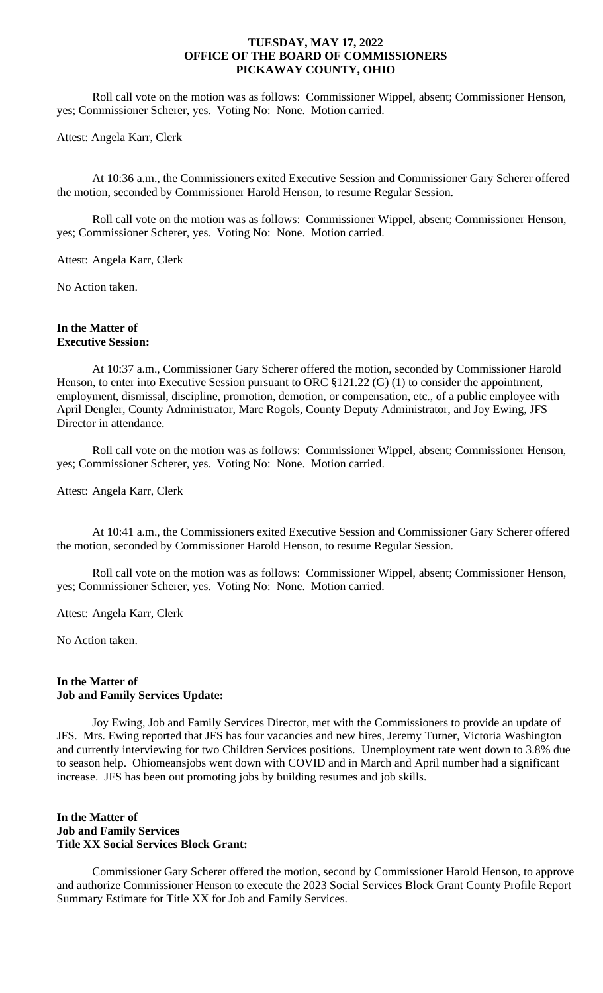Roll call vote on the motion was as follows: Commissioner Wippel, absent; Commissioner Henson, yes; Commissioner Scherer, yes. Voting No: None. Motion carried.

#### Attest: Angela Karr, Clerk

At 10:36 a.m., the Commissioners exited Executive Session and Commissioner Gary Scherer offered the motion, seconded by Commissioner Harold Henson, to resume Regular Session.

Roll call vote on the motion was as follows: Commissioner Wippel, absent; Commissioner Henson, yes; Commissioner Scherer, yes. Voting No: None. Motion carried.

Attest: Angela Karr, Clerk

No Action taken.

#### **In the Matter of Executive Session:**

At 10:37 a.m., Commissioner Gary Scherer offered the motion, seconded by Commissioner Harold Henson, to enter into Executive Session pursuant to ORC  $$121.22$  (G) (1) to consider the appointment, employment, dismissal, discipline, promotion, demotion, or compensation, etc., of a public employee with April Dengler, County Administrator, Marc Rogols, County Deputy Administrator, and Joy Ewing, JFS Director in attendance.

Roll call vote on the motion was as follows: Commissioner Wippel, absent; Commissioner Henson, yes; Commissioner Scherer, yes. Voting No: None. Motion carried.

Attest: Angela Karr, Clerk

At 10:41 a.m., the Commissioners exited Executive Session and Commissioner Gary Scherer offered the motion, seconded by Commissioner Harold Henson, to resume Regular Session.

Roll call vote on the motion was as follows: Commissioner Wippel, absent; Commissioner Henson, yes; Commissioner Scherer, yes. Voting No: None. Motion carried.

Attest: Angela Karr, Clerk

No Action taken.

### **In the Matter of Job and Family Services Update:**

Joy Ewing, Job and Family Services Director, met with the Commissioners to provide an update of JFS. Mrs. Ewing reported that JFS has four vacancies and new hires, Jeremy Turner, Victoria Washington and currently interviewing for two Children Services positions. Unemployment rate went down to 3.8% due to season help. Ohiomeansjobs went down with COVID and in March and April number had a significant increase. JFS has been out promoting jobs by building resumes and job skills.

#### **In the Matter of Job and Family Services Title XX Social Services Block Grant:**

Commissioner Gary Scherer offered the motion, second by Commissioner Harold Henson, to approve and authorize Commissioner Henson to execute the 2023 Social Services Block Grant County Profile Report Summary Estimate for Title XX for Job and Family Services.